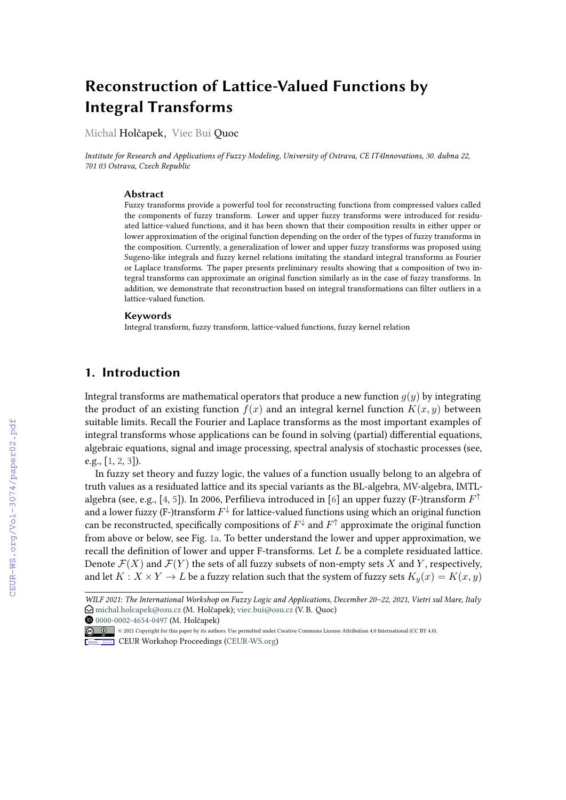# **Reconstruction of Lattice-Valued Functions by Integral Transforms**

Michal Holčapek, Viec Bui Quoc

*Institute for Research and Applications of Fuzzy Modeling, University of Ostrava, CE IT4Innovations, 30. dubna 22, 701 03 Ostrava, Czech Republic*

#### **Abstract**

Fuzzy transforms provide a powerful tool for reconstructing functions from compressed values called the components of fuzzy transform. Lower and upper fuzzy transforms were introduced for residuated lattice-valued functions, and it has been shown that their composition results in either upper or lower approximation of the original function depending on the order of the types of fuzzy transforms in the composition. Currently, a generalization of lower and upper fuzzy transforms was proposed using Sugeno-like integrals and fuzzy kernel relations imitating the standard integral transforms as Fourier or Laplace transforms. The paper presents preliminary results showing that a composition of two integral transforms can approximate an original function similarly as in the case of fuzzy transforms. In addition, we demonstrate that reconstruction based on integral transformations can filter outliers in a lattice-valued function.

#### **Keywords**

Integral transform, fuzzy transform, lattice-valued functions, fuzzy kernel relation

#### **1. Introduction**

Integral transforms are mathematical operators that produce a new function  $q(y)$  by integrating the product of an existing function  $f(x)$  and an integral kernel function  $K(x, y)$  between suitable limits. Recall the Fourier and Laplace transforms as the most important examples of integral transforms whose applications can be found in solving (partial) differential equations, algebraic equations, signal and image processing, spectral analysis of stochastic processes (see, e.g., [\[1,](#page--1-0) [2,](#page--1-1) [3\]](#page--1-2)).

In fuzzy set theory and fuzzy logic, the values of a function usually belong to an algebra of truth values as a residuated lattice and its special variants as the BL-algebra, MV-algebra, IMTL-algebra (see, e.g., [\[4,](#page--1-3) [5\]](#page--1-4)). In 2006, Perfilieva introduced in [\[6\]](#page--1-5) an upper fuzzy (F-)transform  $F^\uparrow$ and a lower fuzzy (F-)transform  $F^\downarrow$  for lattice-valued functions using which an original function can be reconstructed, specifically compositions of  $F^\downarrow$  and  $F^\uparrow$  approximate the original function from above or below, see Fig. [1a.](#page--1-6) To better understand the lower and upper approximation, we recall the definition of lower and upper F-transforms. Let  $L$  be a complete residuated lattice. Denote  $\mathcal{F}(X)$  and  $\mathcal{F}(Y)$  the sets of all fuzzy subsets of non-empty sets X and Y, respectively, and let  $K : X \times Y \to L$  be a fuzzy relation such that the system of fuzzy sets  $K_u(x) = K(x, y)$ 

*WILF 2021: The International Workshop on Fuzzy Logic and Applications, December 20–22, 2021, Vietri sul Mare, Italy*  $\Theta$  [michal.holcapek@osu.cz](mailto:michal.holcapek@osu.cz) (M. Holčapek); [viec.bui@osu.cz](mailto:viec.bui@osu.cz) (V.B. Quoc)

[0000-0002-4654-0497](https://orcid.org/0000-0002-4654-0497) (M. Holčapek)

<sup>©</sup> 2021 Copyright for this paper by its authors. Use permitted under Creative Commons License Attribution 4.0 International (CC BY 4.0).

**CEUR Workshop [Proceedings](http://ceur-ws.org) [\(CEUR-WS.org\)](http://ceur-ws.org)**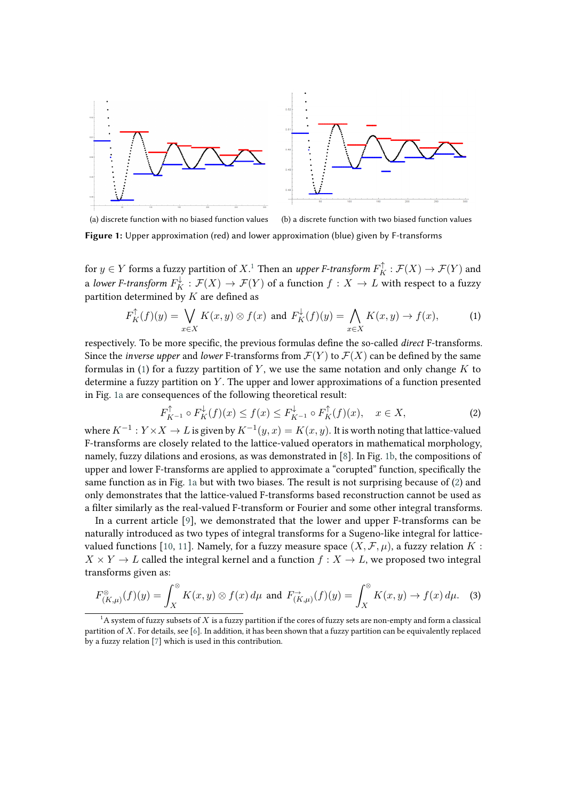<span id="page-1-2"></span>

(a) discrete function with no biased function values (b) a discrete function with two biased function values

**Figure 1:** Upper approximation (red) and lower approximation (blue) given by F-transforms

for  $y\in Y$  forms a fuzzy partition of  $X.1$  $X.1$  Then an *upper F-transform*  $F_K^\uparrow : \mathcal{F}(X) \to \mathcal{F}(Y)$  and a *lower F-transform*  $F_K^{\downarrow}:\mathcal{F}(X)\to \mathcal{F}(Y)$  *of a function*  $f:X\to L$  *with respect to a fuzzy* partition determined by  $K$  are defined as

<span id="page-1-3"></span>
$$
F_K^{\uparrow}(f)(y) = \bigvee_{x \in X} K(x, y) \otimes f(x) \text{ and } F_K^{\downarrow}(f)(y) = \bigwedge_{x \in X} K(x, y) \to f(x), \tag{1}
$$

respectively. To be more specific, the previous formulas define the so-called *direct* F-transforms. Since the *inverse upper* and *lower* F-transforms from  $\mathcal{F}(Y)$  to  $\mathcal{F}(X)$  can be defined by the same formulas in [\(1\)](#page-1-1) for a fuzzy partition of  $Y$ , we use the same notation and only change  $K$  to determine a fuzzy partition on  $Y$ . The upper and lower approximations of a function presented in Fig. [1a](#page-1-2) are consequences of the following theoretical result:

<span id="page-1-5"></span><span id="page-1-4"></span><span id="page-1-1"></span>
$$
F_{K^{-1}}^{\uparrow} \circ F_K^{\downarrow}(f)(x) \le f(x) \le F_{K^{-1}}^{\downarrow} \circ F_K^{\uparrow}(f)(x), \quad x \in X,
$$
 (2)

where  $K^{-1}:Y \times X \to L$  is given by  $K^{-1}(y,x) = K(x,y).$  It is worth noting that lattice-valued F-transforms are closely related to the lattice-valued operators in mathematical morphology, namely, fuzzy dilations and erosions, as was demonstrated in [\[8\]](#page-7-0). In Fig. [1b,](#page-1-3) the compositions of upper and lower F-transforms are applied to approximate a "corupted" function, specifically the same function as in Fig. [1a](#page-1-2) but with two biases. The result is not surprising because of [\(2\)](#page-1-4) and only demonstrates that the lattice-valued F-transforms based reconstruction cannot be used as a filter similarly as the real-valued F-transform or Fourier and some other integral transforms.

In a current article [\[9\]](#page-7-1), we demonstrated that the lower and upper F-transforms can be naturally introduced as two types of integral transforms for a Sugeno-like integral for lattice-valued functions [\[10,](#page-7-2) [11\]](#page-7-3). Namely, for a fuzzy measure space  $(X, \mathcal{F}, \mu)$ , a fuzzy relation K:  $X \times Y \to L$  called the integral kernel and a function  $f: X \to L$ , we proposed two integral transforms given as:

$$
F_{(K,\mu)}^{\otimes}(f)(y) = \int_X^{\otimes} K(x,y) \otimes f(x) d\mu \text{ and } F_{(K,\mu)}^{\rightarrow}(f)(y) = \int_X^{\otimes} K(x,y) \to f(x) d\mu. \tag{3}
$$

<span id="page-1-0"></span> $1A$  system of fuzzy subsets of  $X$  is a fuzzy partition if the cores of fuzzy sets are non-empty and form a classical partition of X. For details, see [\[6\]](#page-7-4). In addition, it has been shown that a fuzzy partition can be equivalently replaced by a fuzzy relation [\[7\]](#page-7-5) which is used in this contribution.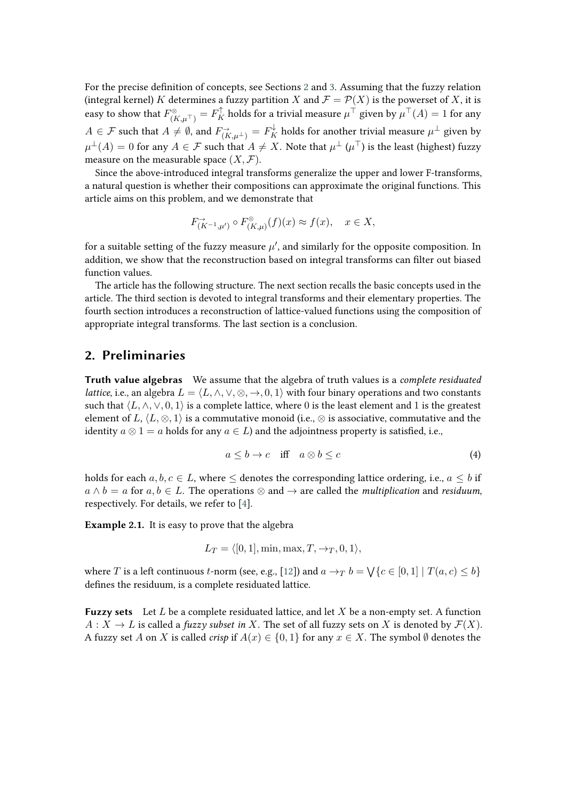For the precise definition of concepts, see Sections [2](#page-2-0) and [3.](#page-4-0) Assuming that the fuzzy relation (integral kernel) K determines a fuzzy partition X and  $\mathcal{F} = \mathcal{P}(X)$  is the powerset of X, it is easy to show that  $F_{(K,\mu^\top)}^\otimes=F_K^\uparrow$  holds for a trivial measure  $\mu^\top$  given by  $\mu^\top(A)=1$  for any  $A\in\mathcal{F}$  such that  $A\neq\emptyset$ , and  $F_{(K,\mu^\perp)}^\to=F_K^\downarrow$  holds for another trivial measure  $\mu^\perp$  given by  $\mu^\perp(A)=0$  for any  $A\in\mathcal F$  such that  $A\neq X.$  Note that  $\mu^\perp$   $(\mu^\top)$  is the least (highest) fuzzy measure on the measurable space  $(X, \mathcal{F})$ .

Since the above-introduced integral transforms generalize the upper and lower F-transforms, a natural question is whether their compositions can approximate the original functions. This article aims on this problem, and we demonstrate that

$$
F_{(K^{-1},\mu')}^{\to} \circ F_{(K,\mu)}^{\otimes}(f)(x) \approx f(x), \quad x \in X,
$$

for a suitable setting of the fuzzy measure  $\mu'$ , and similarly for the opposite composition. In addition, we show that the reconstruction based on integral transforms can filter out biased function values.

The article has the following structure. The next section recalls the basic concepts used in the article. The third section is devoted to integral transforms and their elementary properties. The fourth section introduces a reconstruction of lattice-valued functions using the composition of appropriate integral transforms. The last section is a conclusion.

#### <span id="page-2-0"></span>**2. Preliminaries**

**Truth value algebras** We assume that the algebra of truth values is a *complete residuated lattice*, i.e., an algebra  $L = \langle L, \wedge, \vee, \otimes, \to, 0, 1 \rangle$  with four binary operations and two constants such that  $\langle L, \wedge, \vee, 0, 1 \rangle$  is a complete lattice, where 0 is the least element and 1 is the greatest element of L,  $\langle L, \otimes, 1 \rangle$  is a commutative monoid (i.e.,  $\otimes$  is associative, commutative and the identity  $a \otimes 1 = a$  holds for any  $a \in L$ ) and the adjointness property is satisfied, i.e.,

<span id="page-2-1"></span>
$$
a \le b \to c \quad \text{iff} \quad a \otimes b \le c \tag{4}
$$

holds for each  $a, b, c \in L$ , where  $\leq$  denotes the corresponding lattice ordering, i.e.,  $a \leq b$  if  $a \wedge b = a$  for  $a, b \in L$ . The operations  $\otimes$  and  $\rightarrow$  are called the *multiplication* and *residuum*, respectively. For details, we refer to [\[4\]](#page-7-6).

**Example 2.1.** It is easy to prove that the algebra

$$
L_T = \langle [0, 1], \min, \max, T, \rightarrow_T, 0, 1 \rangle,
$$

where  $T$  is a left continuous  $t$ -norm (see, e.g., [\[12\]](#page-7-7)) and  $a\to_T b=\bigvee\{c\in[0,1]\mid T(a,c)\leq b\}$ defines the residuum, is a complete residuated lattice.

**Fuzzy sets** Let  $L$  be a complete residuated lattice, and let  $X$  be a non-empty set. A function  $A: X \to L$  is called a *fuzzy subset in* X. The set of all fuzzy sets on X is denoted by  $\mathcal{F}(X)$ . A fuzzy set A on X is called *crisp* if  $A(x) \in \{0, 1\}$  for any  $x \in X$ . The symbol  $\emptyset$  denotes the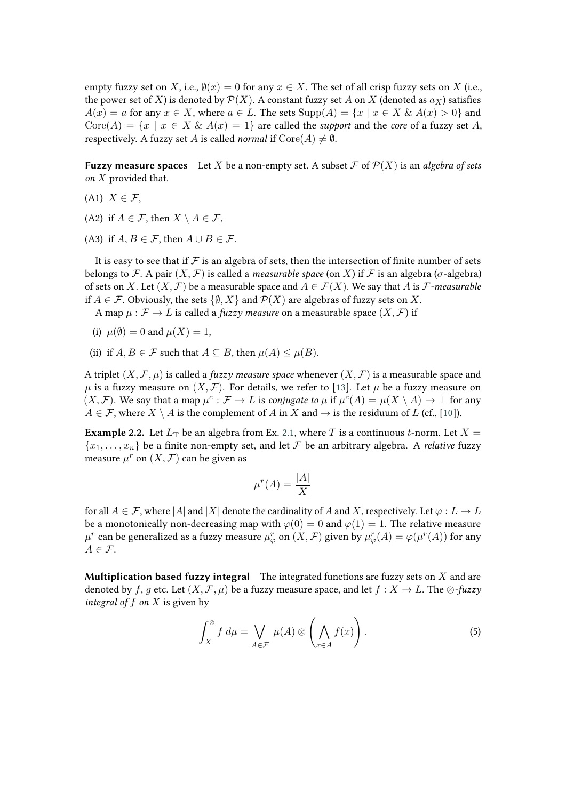empty fuzzy set on X, i.e.,  $\emptyset(x) = 0$  for any  $x \in X$ . The set of all crisp fuzzy sets on X (i.e., the power set of X) is denoted by  $\mathcal{P}(X)$ . A constant fuzzy set A on X (denoted as  $a_X$ ) satisfies  $A(x) = a$  for any  $x \in X$ , where  $a \in L$ . The sets  $\text{Supp}(A) = \{x \mid x \in X \& A(x) > 0\}$  and  $Core(A) = \{x \mid x \in X \& A(x) = 1\}$  are called the *support* and the *core* of a fuzzy set A, respectively. A fuzzy set A is called *normal* if  $\text{Core}(A) \neq \emptyset$ .

**Fuzzy measure spaces** Let X be a non-empty set. A subset  $\mathcal{F}$  of  $\mathcal{P}(X)$  is an *algebra of sets on*  $X$  provided that.

- (A1)  $X \in \mathcal{F}$ ,
- (A2) if  $A \in \mathcal{F}$ , then  $X \setminus A \in \mathcal{F}$ ,
- (A3) if  $A, B \in \mathcal{F}$ , then  $A \cup B \in \mathcal{F}$ .

It is easy to see that if  $\mathcal F$  is an algebra of sets, then the intersection of finite number of sets belongs to F. A pair  $(X, \mathcal{F})$  is called a *measurable space* (on X) if F is an algebra ( $\sigma$ -algebra) of sets on X. Let  $(X, \mathcal{F})$  be a measurable space and  $A \in \mathcal{F}(X)$ . We say that A is  $\mathcal{F}$ -measurable if  $A \in \mathcal{F}$ . Obviously, the sets  $\{\emptyset, X\}$  and  $\mathcal{P}(X)$  are algebras of fuzzy sets on X.

A map  $\mu : \mathcal{F} \to L$  is called a *fuzzy measure* on a measurable space  $(X, \mathcal{F})$  if

- (i)  $\mu(\emptyset) = 0$  and  $\mu(X) = 1$ ,
- (ii) if  $A, B \in \mathcal{F}$  such that  $A \subseteq B$ , then  $\mu(A) \leq \mu(B)$ .

A triplet  $(X, \mathcal{F}, \mu)$  is called a *fuzzy measure space* whenever  $(X, \mathcal{F})$  is a measurable space and  $\mu$  is a fuzzy measure on  $(X, \mathcal{F})$ . For details, we refer to [\[13\]](#page-7-8). Let  $\mu$  be a fuzzy measure on  $(X, \mathcal{F})$ . We say that a map  $\mu^c : \mathcal{F} \to L$  is *conjugate to*  $\mu$  if  $\mu^c(A) = \mu(X \setminus A) \to \bot$  for any  $A \in \mathcal{F}$ , where  $X \setminus A$  is the complement of A in X and  $\rightarrow$  is the residuum of L (cf., [\[10\]](#page-7-2)).

**Example 2.2.** Let  $L_T$  be an algebra from Ex. [2.1,](#page-2-1) where T is a continuous t-norm. Let  $X =$  $\{x_1, \ldots, x_n\}$  be a finite non-empty set, and let F be an arbitrary algebra. A *relative* fuzzy measure  $\mu^r$  on  $(X, \mathcal{F})$  can be given as

$$
\mu^r(A) = \frac{|A|}{|X|}
$$

for all  $A \in \mathcal{F}$ , where |A| and |X| denote the cardinality of A and X, respectively. Let  $\varphi : L \to L$ be a monotonically non-decreasing map with  $\varphi(0) = 0$  and  $\varphi(1) = 1$ . The relative measure  $\mu^r$  can be generalized as a fuzzy measure  $\mu^r_\varphi$  on  $(X,\mathcal{F})$  given by  $\mu^r_\varphi(A)=\varphi(\mu^r(A))$  for any  $A \in \mathcal{F}$ .

**Multiplication based fuzzy integral** The integrated functions are fuzzy sets on  $X$  and are denoted by f, g etc. Let  $(X, \mathcal{F}, \mu)$  be a fuzzy measure space, and let  $f : X \to L$ . The  $\otimes$ -fuzzy *integral of*  $f$  *on*  $X$  is given by

$$
\int_{X}^{\otimes} f d\mu = \bigvee_{A \in \mathcal{F}} \mu(A) \otimes \left( \bigwedge_{x \in A} f(x) \right).
$$
 (5)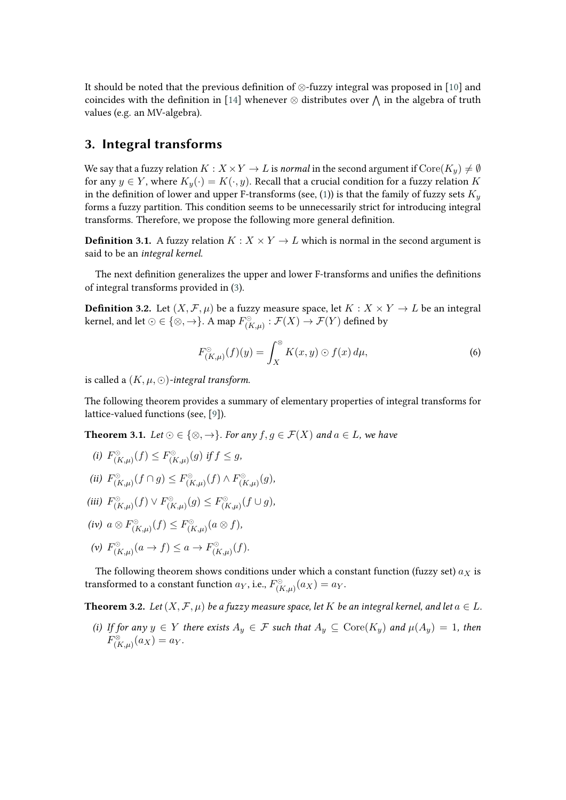It should be noted that the previous definition of ⊗-fuzzy integral was proposed in [\[10\]](#page-7-2) and coincides with the definition in [\[14\]](#page-7-9) whenever  $\otimes$  distributes over  $\bigwedge$  in the algebra of truth values (e.g. an MV-algebra).

#### <span id="page-4-0"></span>**3. Integral transforms**

We say that a fuzzy relation  $K : X \times Y \to L$  is *normal* in the second argument if  $\text{Core}(K_u) \neq \emptyset$ for any  $y \in Y$ , where  $K_y(\cdot) = K(\cdot, y)$ . Recall that a crucial condition for a fuzzy relation K in the definition of lower and upper F-transforms (see, [\(1\)](#page-1-1)) is that the family of fuzzy sets  $K_u$ forms a fuzzy partition. This condition seems to be unnecessarily strict for introducing integral transforms. Therefore, we propose the following more general definition.

**Definition 3.1.** A fuzzy relation  $K : X \times Y \to L$  which is normal in the second argument is said to be an *integral kernel*.

The next definition generalizes the upper and lower F-transforms and unifies the definitions of integral transforms provided in [\(3\)](#page-1-5).

**Definition 3.2.** Let  $(X, \mathcal{F}, \mu)$  be a fuzzy measure space, let  $K : X \times Y \to L$  be an integral kernel, and let  $\odot\in\{\otimes,\to\}.$  A map  $F^\odot_{(K,\mu)}:\mathcal F(X)\to\mathcal F(Y)$  defined by

$$
F_{(K,\mu)}^{\circlearrowright}(f)(y) = \int_X^{\circledast} K(x,y) \odot f(x) \, d\mu,\tag{6}
$$

is called a  $(K, \mu, \odot)$ *-integral transform.* 

The following theorem provides a summary of elementary properties of integral transforms for lattice-valued functions (see, [\[9\]](#page-7-1)).

**Theorem 3.1.** *Let*  $\odot \in \{ \otimes, \rightarrow \}$ *. For any*  $f, g \in \mathcal{F}(X)$  *and*  $a \in L$ *, we have* 

(*i*)  $F_{(K,\mu)}^{\circlearrowright}(f) \leq F_{(K,\mu)}^{\circlearrowright}(g)$  if  $f \leq g$ ,

$$
(ii) \ F_{(K,\mu)}^{\circlearrowleft}(f \cap g) \leq F_{(K,\mu)}^{\circlearrowleft}(f) \land F_{(K,\mu)}^{\circlearrowleft}(g),
$$

$$
(iii) \ F_{(K,\mu)}^{\circlearrowright}(f) \vee F_{(K,\mu)}^{\circlearrowright}(g) \leq F_{(K,\mu)}^{\circlearrowright}(f \cup g),
$$

$$
(iv) a \otimes F_{(K,\mu)}^{\circlearrowleft}(f) \leq F_{(K,\mu)}^{\circlearrowleft}(a \otimes f),
$$

(v)  $F_{(K,\mu)}^{\odot}(a \to f) \leq a \to F_{(K,\mu)}^{\odot}(f)$ .

The following theorem shows conditions under which a constant function (fuzzy set)  $a_X$  is transformed to a constant function  $a_Y$ , i.e.,  $F_{(K,\mu)}^\odot(a_X) = a_Y.$ 

<span id="page-4-1"></span>**Theorem 3.2.** *Let*  $(X, \mathcal{F}, \mu)$  *be a fuzzy measure space, let*  $K$  *be an integral kernel, and let*  $a \in L$ *.* 

*(i)* If for any  $y \in Y$  there exists  $A_y \in \mathcal{F}$  such that  $A_y \subseteq \text{Core}(K_y)$  and  $\mu(A_y) = 1$ , then  $F_{(K,\mu)}^{\otimes}(a_X) = a_Y.$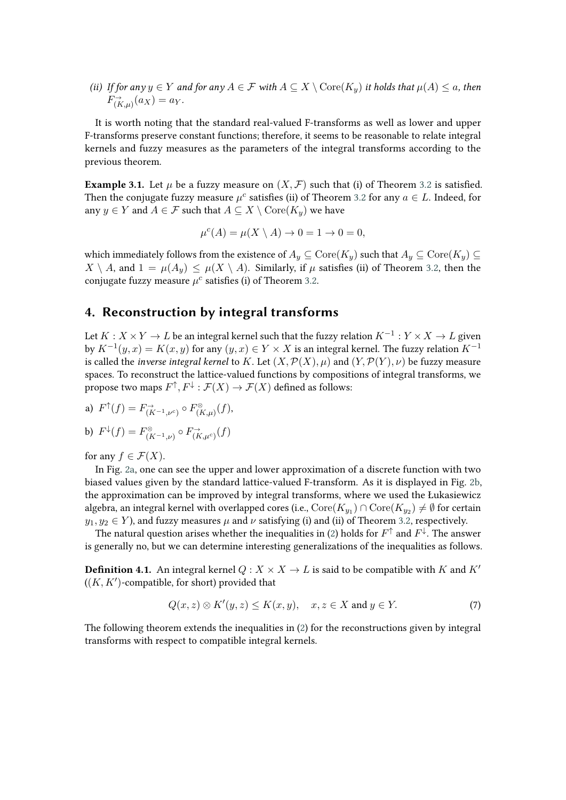*(ii) If for any*  $y \in Y$  *and for any*  $A \in \mathcal{F}$  *with*  $A \subseteq X \setminus \text{Core}(K_y)$  *it holds that*  $\mu(A) \leq a$ *, then*  $F_{(K,\mu)}^{\rightarrow}(a_X)=a_Y.$ 

It is worth noting that the standard real-valued F-transforms as well as lower and upper F-transforms preserve constant functions; therefore, it seems to be reasonable to relate integral kernels and fuzzy measures as the parameters of the integral transforms according to the previous theorem.

**Example 3.1.** Let  $\mu$  be a fuzzy measure on  $(X, \mathcal{F})$  such that (i) of Theorem [3.2](#page-4-1) is satisfied. Then the conjugate fuzzy measure  $\mu^c$  satisfies (ii) of Theorem [3.2](#page-4-1) for any  $a \in L$ . Indeed, for any  $y \in Y$  and  $A \in \mathcal{F}$  such that  $A \subseteq X \setminus \text{Core}(K_u)$  we have

$$
\mu^{c}(A) = \mu(X \setminus A) \to 0 = 1 \to 0 = 0,
$$

which immediately follows from the existence of  $A_u \subset \text{Core}(K_u)$  such that  $A_u \subset \text{Core}(K_u) \subset$  $X \setminus A$ , and  $1 = \mu(A_u) \leq \mu(X \setminus A)$ . Similarly, if  $\mu$  satisfies (ii) of Theorem [3.2,](#page-4-1) then the conjugate fuzzy measure  $\mu^c$  satisfies (i) of Theorem [3.2.](#page-4-1)

## **4. Reconstruction by integral transforms**

Let  $K : X \times Y \to L$  be an integral kernel such that the fuzzy relation  $K^{-1} : Y \times X \to L$  given by  $K^{-1}(y, x) = K(x, y)$  for any  $(y, x) \in Y \times X$  is an integral kernel. The fuzzy relation  $K^{-1}$ is called the *inverse integral kernel* to K. Let  $(X, \mathcal{P}(X), \mu)$  and  $(Y, \mathcal{P}(Y), \nu)$  be fuzzy measure spaces. To reconstruct the lattice-valued functions by compositions of integral transforms, we propose two maps  $F^{\uparrow}, F^{\downarrow} : \mathcal{F}(X) \to \mathcal{F}(X)$  defined as follows:

a) 
$$
F^{\uparrow}(f) = F^{\rightarrow}_{(K^{-1},\nu^c)} \circ F^{\otimes}_{(K,\mu)}(f),
$$

b) 
$$
F^{\downarrow}(f) = F^{\otimes}_{(K^{-1},\nu)} \circ F^{\rightarrow}_{(K,\mu^c)}(f)
$$

for any  $f \in \mathcal{F}(X)$ .

In Fig. [2a,](#page-6-0) one can see the upper and lower approximation of a discrete function with two biased values given by the standard lattice-valued F-transform. As it is displayed in Fig. [2b,](#page-6-1) the approximation can be improved by integral transforms, where we used the Łukasiewicz algebra, an integral kernel with overlapped cores (i.e.,  $\mathrm{Core}(K_{y_1})\cap \mathrm{Core}(K_{y_2})\neq \emptyset$  for certain  $y_1, y_2 \in Y$ ), and fuzzy measures  $\mu$  and  $\nu$  satisfying (i) and (ii) of Theorem [3.2,](#page-4-1) respectively.

The natural question arises whether the inequalities in [\(2\)](#page-1-4) holds for  $F^\uparrow$  and  $F^\downarrow$ . The answer is generally no, but we can determine interesting generalizations of the inequalities as follows.

**Definition 4.1.** An integral kernel  $Q: X \times X \rightarrow L$  is said to be compatible with K and K'  $((K, K')$ -compatible, for short) provided that

$$
Q(x, z) \otimes K'(y, z) \le K(x, y), \quad x, z \in X \text{ and } y \in Y. \tag{7}
$$

The following theorem extends the inequalities in [\(2\)](#page-1-4) for the reconstructions given by integral transforms with respect to compatible integral kernels.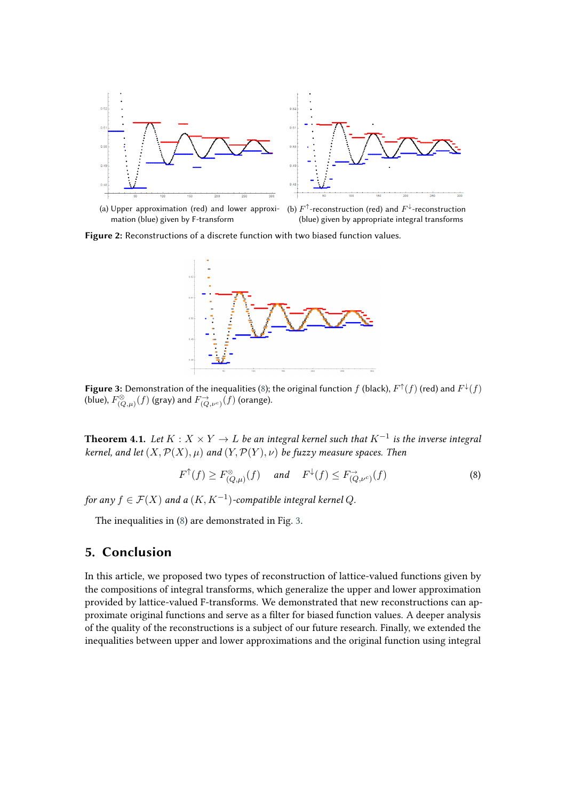<span id="page-6-0"></span>



(a) Upper approximation (red) and lower approximation (blue) given by F-transform

<span id="page-6-1"></span>(b)  $F^{\uparrow}$ -reconstruction (red) and  $F^{\downarrow}$ -reconstruction (blue) given by appropriate integral transforms

<span id="page-6-3"></span>**Figure 2:** Reconstructions of a discrete function with two biased function values.



**Figure 3:** Demonstration of the inequalities [\(8\)](#page-6-2); the original function  $f$  (black),  $F^{\uparrow}(f)$  (red) and  $F^{\downarrow}(f)$ (blue),  $F_{(Q,\mu)}^{\otimes}(f)$  (gray) and  $F_{(Q,\nu^c)}^{\to}(f)$  (orange).

**Theorem 4.1.** Let  $K: X \times Y \to L$  be an integral kernel such that  $K^{-1}$  is the inverse integral *kernel, and let*  $(X, \mathcal{P}(X), \mu)$  *and*  $(Y, \mathcal{P}(Y), \nu)$  *be fuzzy measure spaces. Then* 

<span id="page-6-2"></span>
$$
F^{\uparrow}(f) \ge F_{(Q,\mu)}^{\otimes}(f) \quad \text{and} \quad F^{\downarrow}(f) \le F_{(Q,\nu^c)}^{\rightarrow}(f) \tag{8}
$$

for any  $f \in \mathcal{F}(X)$  and a  $(K, K^{-1})$ -compatible integral kernel  $Q$ .

The inequalities in [\(8\)](#page-6-2) are demonstrated in Fig. [3.](#page-6-3)

#### **5. Conclusion**

In this article, we proposed two types of reconstruction of lattice-valued functions given by the compositions of integral transforms, which generalize the upper and lower approximation provided by lattice-valued F-transforms. We demonstrated that new reconstructions can approximate original functions and serve as a filter for biased function values. A deeper analysis of the quality of the reconstructions is a subject of our future research. Finally, we extended the inequalities between upper and lower approximations and the original function using integral